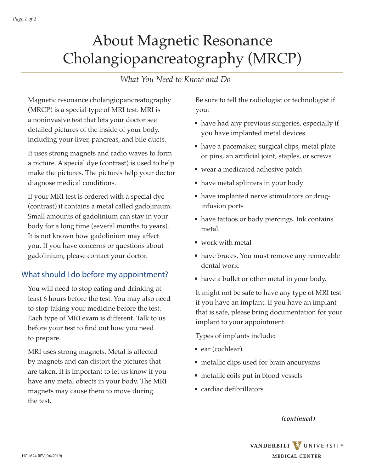# About Magnetic Resonance Cholangiopancreatography (MRCP)

# *What You Need to Know and Do*

Magnetic resonance cholangiopancreatography (MRCP) is a special type of MRI test. MRI is a noninvasive test that lets your doctor see detailed pictures of the inside of your body, including your liver, pancreas, and bile ducts.

It uses strong magnets and radio waves to form a picture. A special dye (contrast) is used to help make the pictures. The pictures help your doctor diagnose medical conditions.

If your MRI test is ordered with a special dye (contrast) it contains a metal called gadolinium. Small amounts of gadolinium can stay in your body for a long time (several months to years). It is not known how gadolinium may affect you. If you have concerns or questions about gadolinium, please contact your doctor.

### What should I do before my appointment?

You will need to stop eating and drinking at least 6 hours before the test. You may also need to stop taking your medicine before the test. Each type of MRI exam is different. Talk to us before your test to find out how you need to prepare.

MRI uses strong magnets. Metal is affected by magnets and can distort the pictures that are taken. It is important to let us know if you have any metal objects in your body. The MRI magnets may cause them to move during the test.

Be sure to tell the radiologist or technologist if you:

- have had any previous surgeries, especially if you have implanted metal devices
- have a pacemaker, surgical clips, metal plate or pins, an artificial joint, staples, or screws
- wear a medicated adhesive patch
- have metal splinters in your body
- have implanted nerve stimulators or druginfusion ports
- have tattoos or body piercings. Ink contains metal.
- work with metal
- have braces. You must remove any removable dental work.
- have a bullet or other metal in your body.

It might not be safe to have any type of MRI test if you have an implant. If you have an implant that is safe, please bring documentation for your implant to your appointment.

Types of implants include:

- ear (cochlear)
- metallic clips used for brain aneurysms
- metallic coils put in blood vessels
- cardiac defibrillators

*(continued)*